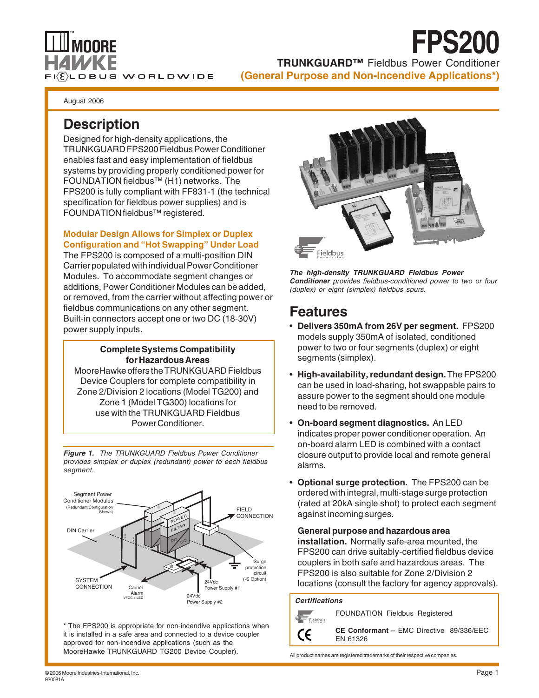

**TRUNKGUARD™** Fieldbus Power Conditioner **(General Purpose and Non-Incendive Applications\*)**

**FPS200**

August 2006

# **Description**

Designed for high-density applications, the TRUNKGUARD FPS200 Fieldbus Power Conditioner enables fast and easy implementation of fieldbus systems by providing properly conditioned power for FOUNDATION fieldbus™ (H1) networks. The FPS200 is fully compliant with FF831-1 (the technical specification for fieldbus power supplies) and is FOUNDATION fieldbus™ registered.

### **Modular Design Allows for Simplex or Duplex Configuration and "Hot Swapping" Under Load**

The FPS200 is composed of a multi-position DIN Carrier populated with individual Power Conditioner Modules. To accommodate segment changes or additions, Power Conditioner Modules can be added, or removed, from the carrier without affecting power or fieldbus communications on any other segment. Built-in connectors accept one or two DC (18-30V) power supply inputs.

### **Complete Systems Compatibility for Hazardous Areas**

MooreHawke offers the TRUNKGUARD Fieldbus Device Couplers for complete compatibility in Zone 2/Division 2 locations (Model TG200) and Zone 1 (Model TG300) locations for use with the TRUNKGUARD Fieldbus Power Conditioner.

**Figure 1.** The TRUNKGUARD Fieldbus Power Conditioner provides simplex or duplex (redundant) power to eech fieldbus segment.



\* The FPS200 is appropriate for non-incendive applications when it is installed in a safe area and connected to a device coupler approved for non-incendive applications (such as the MooreHawke TRUNKGUARD TG200 Device Coupler).



**The high-density TRUNKGUARD Fieldbus Power Conditioner** provides fieldbus-conditioned power to two or four (duplex) or eight (simplex) fieldbus spurs.

# **Features**

- **Delivers 350mA from 26V per segment.** FPS200 models supply 350mA of isolated, conditioned power to two or four segments (duplex) or eight segments (simplex).
- **High-availability, redundant design.** The FPS200 can be used in load-sharing, hot swappable pairs to assure power to the segment should one module need to be removed.
- **On-board segment diagnostics.** An LED indicates proper power conditioner operation. An on-board alarm LED is combined with a contact closure output to provide local and remote general alarms.
- **Optional surge protection.** The FPS200 can be ordered with integral, multi-stage surge protection (rated at 20kA single shot) to protect each segment against incoming surges.

**General purpose and hazardous area installation.** Normally safe-area mounted, the FPS200 can drive suitably-certified fieldbus device couplers in both safe and hazardous areas. The FPS200 is also suitable for Zone 2/Division 2 locations (consult the factory for agency approvals).

### **Certifications**



FOUNDATION Fieldbus Registered

**CE Conformant** – EMC Directive 89/336/EEC EN 61326

All product names are registered trademarks of their respective companies.